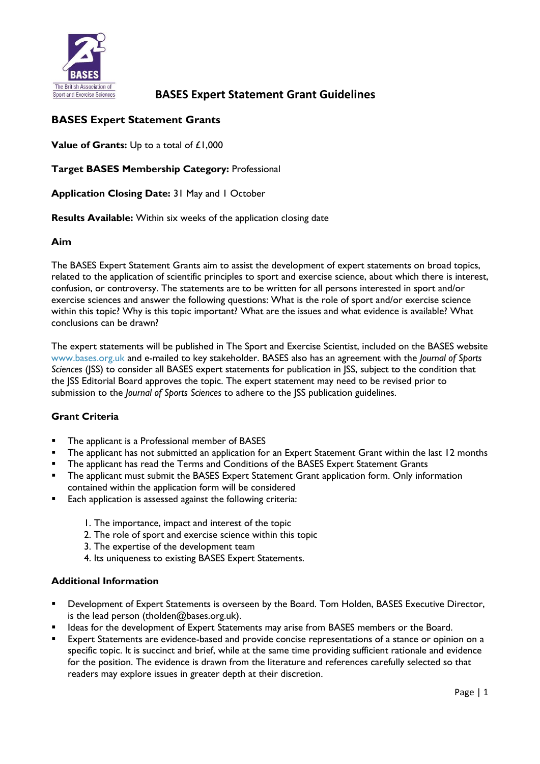

# **BASES Expert Statement Grants**

**Value of Grants:** Up to a total of £1,000

**Target BASES Membership Category:** Professional

**Application Closing Date:** 31 May and 1 October

**Results Available:** Within six weeks of the application closing date

### **Aim**

The BASES Expert Statement Grants aim to assist the development of expert statements on broad topics, related to the application of scientific principles to sport and exercise science, about which there is interest, confusion, or controversy. The statements are to be written for all persons interested in sport and/or exercise sciences and answer the following questions: What is the role of sport and/or exercise science within this topic? Why is this topic important? What are the issues and what evidence is available? What conclusions can be drawn?

The expert statements will be published in The Sport and Exercise Scientist, included on the BASES website [www.bases.org.uk](http://www.bases.org.uk/) and e-mailed to key stakeholder. BASES also has an agreement with the *Journal of Sports Sciences* (JSS) to consider all BASES expert statements for publication in JSS, subject to the condition that the JSS Editorial Board approves the topic. The expert statement may need to be revised prior to submission to the *Journal of Sports Sciences* to adhere to the JSS publication guidelines.

## **Grant Criteria**

- The applicant is a Professional member of BASES
- The applicant has not submitted an application for an Expert Statement Grant within the last 12 months
- The applicant has read the Terms and Conditions of the BASES Expert Statement Grants
- **•** The applicant must submit the BASES Expert Statement Grant application form. Only information contained within the application form will be considered
- Each application is assessed against the following criteria:
	- 1. The importance, impact and interest of the topic
	- 2. The role of sport and exercise science within this topic
	- 3. The expertise of the development team
	- 4. Its uniqueness to existing BASES Expert Statements.

#### **Additional Information**

- Development of Expert Statements is overseen by the Board. Tom Holden, BASES Executive Director, is the lead person (tholden@bases.org.uk).
- Ideas for the development of Expert Statements may arise from BASES members or the Board.
- Expert Statements are evidence-based and provide concise representations of a stance or opinion on a specific topic. It is succinct and brief, while at the same time providing sufficient rationale and evidence for the position. The evidence is drawn from the literature and references carefully selected so that readers may explore issues in greater depth at their discretion.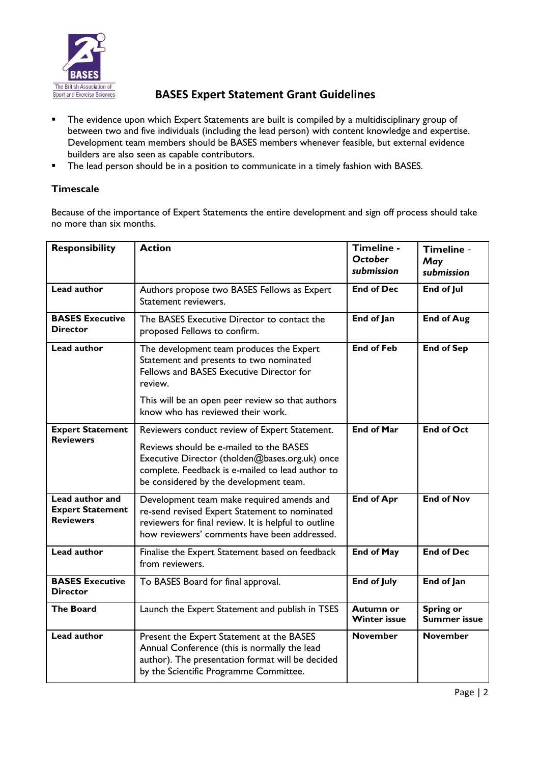

- The evidence upon which Expert Statements are built is compiled by a multidisciplinary group of between two and five individuals (including the lead person) with content knowledge and expertise. Development team members should be BASES members whenever feasible, but external evidence builders are also seen as capable contributors.
- **■** The lead person should be in a position to communicate in a timely fashion with BASES.

## **Timescale**

Because of the importance of Expert Statements the entire development and sign off process should take no more than six months.

| <b>Responsibility</b>                                          | <b>Action</b>                                                                                                                                                                                                                            | Timeline -<br><b>October</b><br>submission | Timeline -<br>May<br>submission         |
|----------------------------------------------------------------|------------------------------------------------------------------------------------------------------------------------------------------------------------------------------------------------------------------------------------------|--------------------------------------------|-----------------------------------------|
| <b>Lead author</b>                                             | Authors propose two BASES Fellows as Expert<br>Statement reviewers.                                                                                                                                                                      | <b>End of Dec</b>                          | End of Jul                              |
| <b>BASES Executive</b><br><b>Director</b>                      | The BASES Executive Director to contact the<br>proposed Fellows to confirm.                                                                                                                                                              | End of Jan                                 | <b>End of Aug</b>                       |
| <b>Lead author</b>                                             | The development team produces the Expert<br>Statement and presents to two nominated<br>Fellows and BASES Executive Director for<br>review.<br>This will be an open peer review so that authors                                           | <b>End of Feb</b>                          | <b>End of Sep</b>                       |
|                                                                | know who has reviewed their work.                                                                                                                                                                                                        |                                            |                                         |
| <b>Expert Statement</b><br><b>Reviewers</b>                    | Reviewers conduct review of Expert Statement.<br>Reviews should be e-mailed to the BASES<br>Executive Director (tholden@bases.org.uk) once<br>complete. Feedback is e-mailed to lead author to<br>be considered by the development team. | <b>End of Mar</b>                          | <b>End of Oct</b>                       |
| Lead author and<br><b>Expert Statement</b><br><b>Reviewers</b> | Development team make required amends and<br>re-send revised Expert Statement to nominated<br>reviewers for final review. It is helpful to outline<br>how reviewers' comments have been addressed.                                       | <b>End of Apr</b>                          | <b>End of Nov</b>                       |
| <b>Lead author</b>                                             | Finalise the Expert Statement based on feedback<br>from reviewers.                                                                                                                                                                       | <b>End of May</b>                          | <b>End of Dec</b>                       |
| <b>BASES Executive</b><br><b>Director</b>                      | To BASES Board for final approval.                                                                                                                                                                                                       | <b>End of July</b>                         | End of Jan                              |
| <b>The Board</b>                                               | Launch the Expert Statement and publish in TSES                                                                                                                                                                                          | <b>Autumn or</b><br><b>Winter issue</b>    | <b>Spring or</b><br><b>Summer issue</b> |
| Lead author                                                    | Present the Expert Statement at the BASES<br>Annual Conference (this is normally the lead<br>author). The presentation format will be decided<br>by the Scientific Programme Committee.                                                  | <b>November</b>                            | <b>November</b>                         |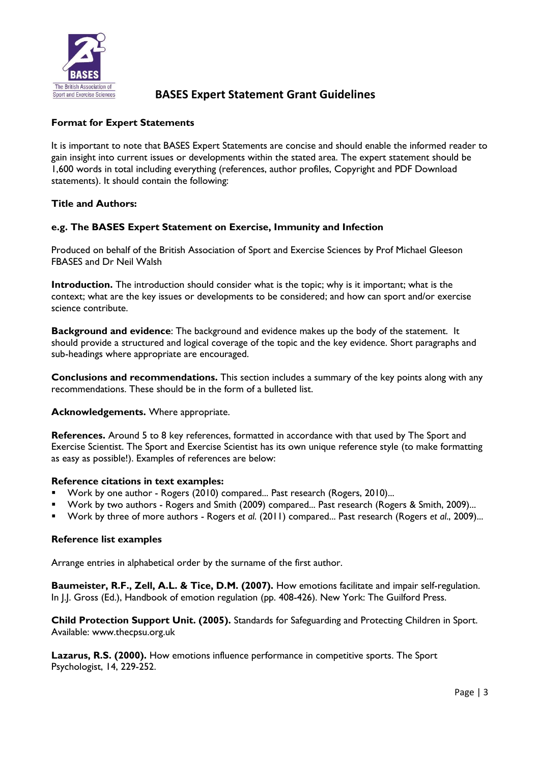

# **Format for Expert Statements**

It is important to note that BASES Expert Statements are concise and should enable the informed reader to gain insight into current issues or developments within the stated area. The expert statement should be 1,600 words in total including everything (references, author profiles, Copyright and PDF Download statements). It should contain the following:

## **Title and Authors:**

# **e.g. The BASES Expert Statement on Exercise, Immunity and Infection**

Produced on behalf of the British Association of Sport and Exercise Sciences by Prof Michael Gleeson FBASES and Dr Neil Walsh

**Introduction.** The introduction should consider what is the topic; why is it important; what is the context; what are the key issues or developments to be considered; and how can sport and/or exercise science contribute.

**Background and evidence**: The background and evidence makes up the body of the statement. It should provide a structured and logical coverage of the topic and the key evidence. Short paragraphs and sub-headings where appropriate are encouraged.

**Conclusions and recommendations.** This section includes a summary of the key points along with any recommendations. These should be in the form of a bulleted list.

**Acknowledgements.** Where appropriate.

**References.** Around 5 to 8 key references, formatted in accordance with that used by The Sport and Exercise Scientist. The Sport and Exercise Scientist has its own unique reference style (to make formatting as easy as possible!). Examples of references are below:

#### **Reference citations in text examples:**

- Work by one author Rogers (2010) compared... Past research (Rogers, 2010)...
- Work by two authors Rogers and Smith (2009) compared... Past research (Rogers & Smith, 2009)...
- Work by three of more authors Rogers *et al*. (2011) compared... Past research (Rogers *et al*., 2009)...

## **Reference list examples**

Arrange entries in alphabetical order by the surname of the first author.

**Baumeister, R.F., Zell, A.L. & Tice, D.M. (2007).** How emotions facilitate and impair self-regulation. In J.J. Gross (Ed.), Handbook of emotion regulation (pp. 408-426). New York: The Guilford Press.

**Child Protection Support Unit. (2005).** Standards for Safeguarding and Protecting Children in Sport. Available: www.thecpsu.org.uk

**Lazarus, R.S. (2000).** How emotions influence performance in competitive sports. The Sport Psychologist, 14, 229-252.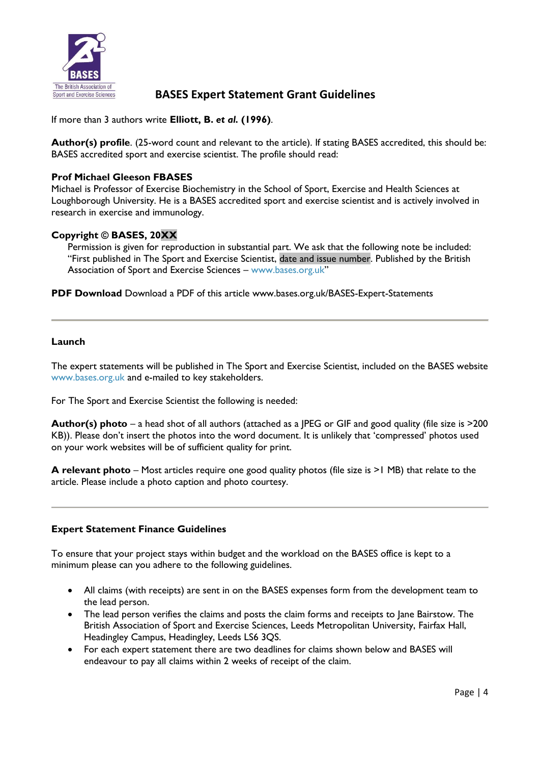

If more than 3 authors write **Elliott, B.** *et al.* **(1996)**.

**Author(s) profile**. (25-word count and relevant to the article). If stating BASES accredited, this should be: BASES accredited sport and exercise scientist. The profile should read:

## **Prof Michael Gleeson FBASES**

Michael is Professor of Exercise Biochemistry in the School of Sport, Exercise and Health Sciences at Loughborough University. He is a BASES accredited sport and exercise scientist and is actively involved in research in exercise and immunology.

## **Copyright © BASES, 20XX**

Permission is given for reproduction in substantial part. We ask that the following note be included: "First published in The Sport and Exercise Scientist, date and issue number. Published by the British Association of Sport and Exercise Sciences – [www.bases.org.uk](http://www.bases.org.uk/)"

**PDF Download** Download a PDF of this article www.bases.org.uk/BASES-Expert-Statements

### **Launch**

The expert statements will be published in The Sport and Exercise Scientist, included on the BASES website [www.bases.org.uk](http://www.bases.org.uk/) and e-mailed to key stakeholders.

For The Sport and Exercise Scientist the following is needed:

**Author(s) photo** – a head shot of all authors (attached as a JPEG or GIF and good quality (file size is >200 KB)). Please don't insert the photos into the word document. It is unlikely that 'compressed' photos used on your work websites will be of sufficient quality for print.

**A relevant photo** – Most articles require one good quality photos (file size is >1 MB) that relate to the article. Please include a photo caption and photo courtesy.

## **Expert Statement Finance Guidelines**

To ensure that your project stays within budget and the workload on the BASES office is kept to a minimum please can you adhere to the following guidelines.

- All claims (with receipts) are sent in on the BASES expenses form from the development team to the lead person.
- The lead person verifies the claims and posts the claim forms and receipts to Jane Bairstow. The British Association of Sport and Exercise Sciences, Leeds Metropolitan University, Fairfax Hall, Headingley Campus, Headingley, Leeds LS6 3QS.
- For each expert statement there are two deadlines for claims shown below and BASES will endeavour to pay all claims within 2 weeks of receipt of the claim.